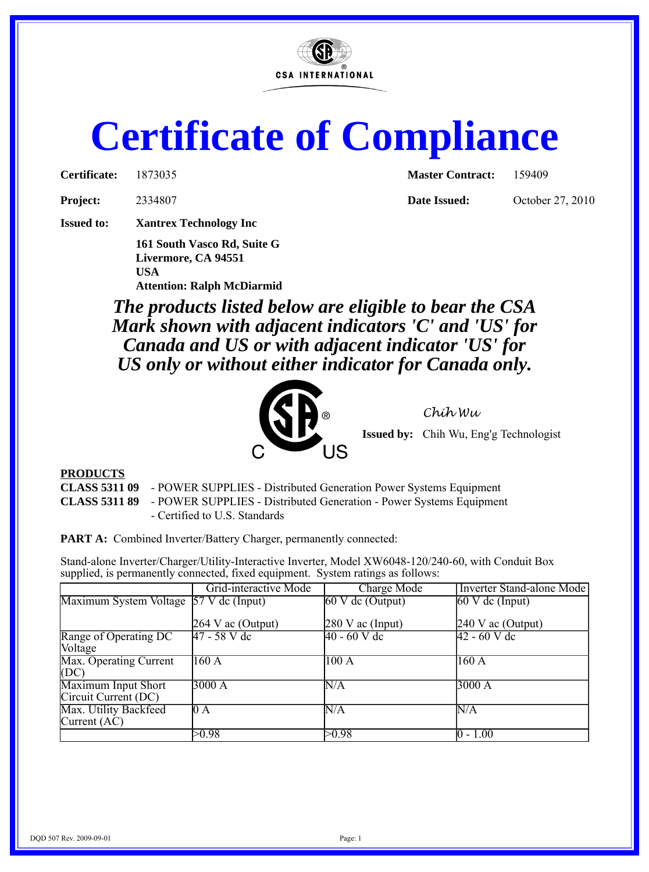

# **Certificate of Compliance**

**Project:** 2334807 **Date Issued:** October 27, 2010

**Issued to: Xantrex Technology Inc**

**161 South Vasco Rd, Suite G Livermore, CA 94551 USA Attention: Ralph McDiarmid**

**Certificate:** 1873035 **Master Contract:** 159409

*The products listed below are eligible to bear the CSA Mark shown with adjacent indicators 'C' and 'US' for Canada and US or with adjacent indicator 'US' for US only or without either indicator for Canada only.*



*Chih Wu*

**Issued by:** Chih Wu, Eng'g Technologist

## **PRODUCTS**

**CLASS 5311 09** - POWER SUPPLIES - Distributed Generation Power Systems Equipment

**CLASS 5311 89** - POWER SUPPLIES - Distributed Generation - Power Systems Equipment - Certified to U.S. Standards

PART A: Combined Inverter/Battery Charger, permanently connected:

Stand-alone Inverter/Charger/Utility-Interactive Inverter, Model XW6048-120/240-60, with Conduit Box supplied, is permanently connected, fixed equipment. System ratings as follows:

|                                         | Grid-interactive Mode | Charge Mode                           | Inverter Stand-alone Mode                                    |
|-----------------------------------------|-----------------------|---------------------------------------|--------------------------------------------------------------|
| Maximum System Voltage [57 V dc (Input) |                       | $\overline{60 \text{ V}}$ dc (Output) | $\overline{60 \text{ V} \text{ d} \text{c} \text{ (Input)}}$ |
|                                         | 264 V ac (Output)     | $280$ V ac (Input)                    | $240$ V ac (Output)                                          |
| Range of Operating DC                   | 47 - 58 V dc          | $40 - 60$ V dc                        | $42 - 60$ V dc                                               |
| Voltage                                 |                       |                                       |                                                              |
| Max. Operating Current                  | 160A                  | 100A                                  | 160A                                                         |
| (DC)                                    |                       |                                       |                                                              |
| Maximum Input Short                     | 3000 A                | N/A                                   | 3000 A                                                       |
| Circuit Current (DC)                    |                       |                                       |                                                              |
| Max. Utility Backfeed                   | $0\,A$                | N/A                                   | N/A                                                          |
| Current $(AC)$                          |                       |                                       |                                                              |
|                                         | >0.98                 | >0.98                                 | $0 - 1.00$                                                   |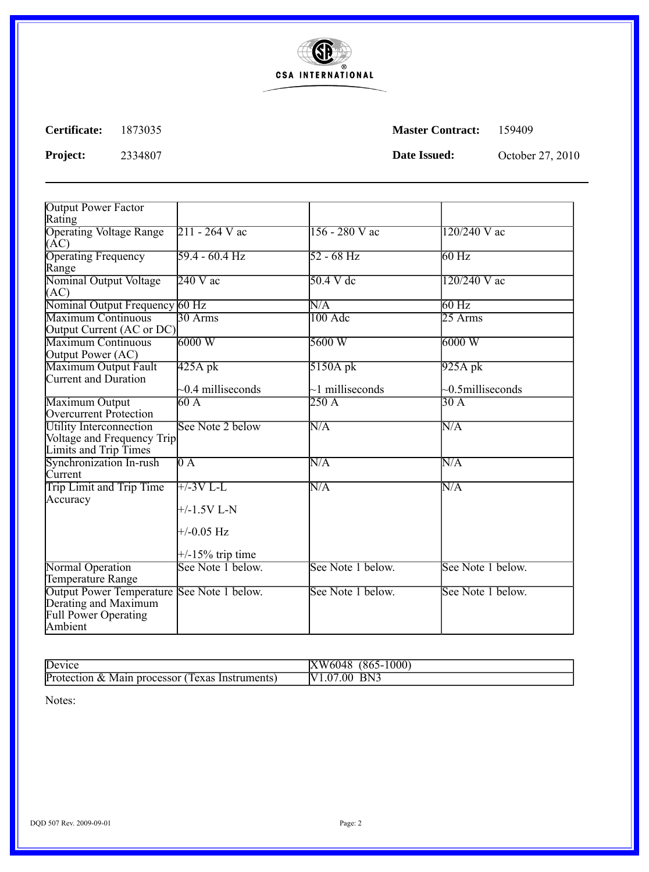

**Project:** 2334807 **Date Issued:** October 27, 2010

| <b>Output Power Factor</b><br>Rating                                                                         |                     |                         |                         |
|--------------------------------------------------------------------------------------------------------------|---------------------|-------------------------|-------------------------|
| <b>Operating Voltage Range</b><br>(AC)                                                                       | 211 - 264 V ac      | $156 - 280$ V ac        | $120/240$ V ac          |
| <b>Operating Frequency</b><br>Range                                                                          | $59.4 - 60.4$ Hz    | $52 - 68$ Hz            | $60$ Hz                 |
| Nominal Output Voltage<br>(AC)                                                                               | $240 \text{ V}$ ac  | $50.4 V d$ c            | 120/240 V ac            |
| Nominal Output Frequency 60 Hz                                                                               |                     | $\overline{\text{N/A}}$ | $60$ Hz                 |
| <b>Maximum Continuous</b><br>Output Current (AC or DC)                                                       | $30 \text{ Arms}$   | $100$ Adc               | $25 \text{ Arms}$       |
| <b>Maximum Continuous</b><br>Output Power (AC)                                                               | 6000W               | 5600 W                  | 6000W                   |
| Maximum Output Fault<br>Current and Duration                                                                 | $425A$ pk           | $5150A$ pk              | $925A$ pk               |
|                                                                                                              | $-0.4$ milliseconds | $\sim$ 1 milliseconds   | $\sim 0.5$ milliseconds |
| Maximum Output<br>Overcurrent Protection                                                                     | 60A                 | 250A                    | 30A                     |
| <b>Utility Interconnection</b><br>Voltage and Frequency Trip<br>Limits and Trip Times                        | See Note 2 below    | N/A                     | $\overline{\text{N/A}}$ |
| Synchronization In-rush<br>Current                                                                           | $0\,\mathrm{A}$     | $\overline{\text{N/A}}$ | $\overline{\text{N/A}}$ |
| Trip Limit and Trip Time                                                                                     | $+/-3V L-L$         | $\overline{\text{N/A}}$ | $\overline{\text{N/A}}$ |
| Accuracy                                                                                                     | $+/-1.5V L-N$       |                         |                         |
|                                                                                                              | $+/-0.05$ Hz        |                         |                         |
|                                                                                                              | $+/-15\%$ trip time |                         |                         |
| Normal Operation<br>Temperature Range                                                                        | See Note 1 below.   | See Note 1 below.       | See Note 1 below.       |
| Output Power Temperature See Note 1 below.<br>Derating and Maximum<br><b>Full Power Operating</b><br>Ambient |                     | See Note 1 below.       | See Note 1 below.       |

| Device                                                                 | $(865 - 1)$<br>1000<br><b>XW6048</b>                    |
|------------------------------------------------------------------------|---------------------------------------------------------|
| Protection<br>Instruments)<br>, processor<br>lexas<br>Main<br>$\alpha$ | BN <sub>3</sub><br>$\overline{00}$<br>$\overline{1.07}$ |

Notes: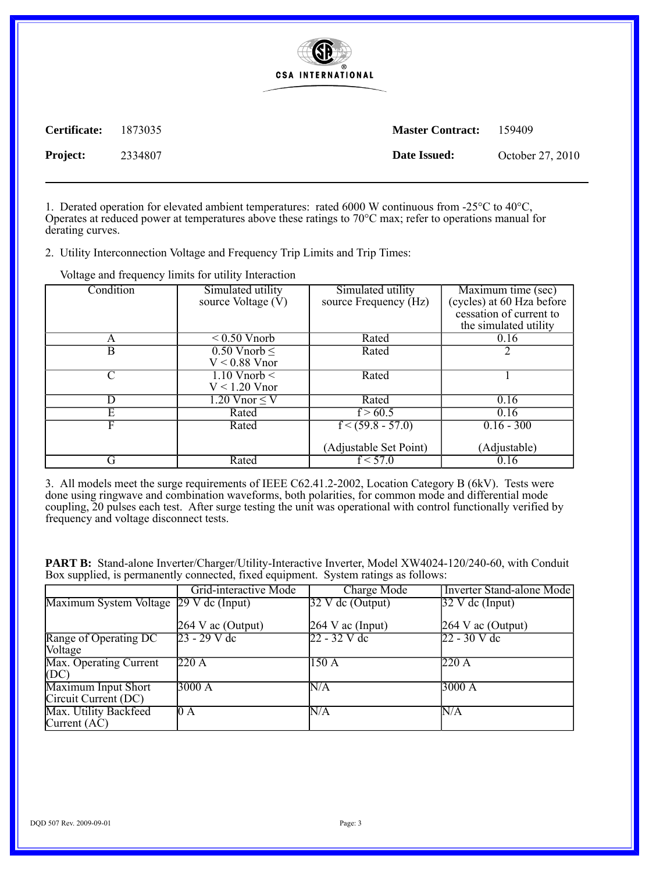

| Certificate:    | 1873035 | <b>Master Contract:</b> | 159409           |
|-----------------|---------|-------------------------|------------------|
| <b>Project:</b> | 2334807 | Date Issued:            | October 27, 2010 |

1. Derated operation for elevated ambient temperatures: rated 6000 W continuous from -25°C to 40°C, Operates at reduced power at temperatures above these ratings to 70°C max; refer to operations manual for derating curves.

2. Utility Interconnection Voltage and Frequency Trip Limits and Trip Times:

| Condition | Simulated utility                        | Simulated utility      | Maximum time (sec)        |
|-----------|------------------------------------------|------------------------|---------------------------|
|           | source Voltage (V)                       | source Frequency (Hz)  | (cycles) at 60 Hza before |
|           |                                          |                        | cessation of current to   |
|           |                                          |                        | the simulated utility     |
|           | $\leq 0.50$ Vnorb                        | Rated                  | 0.16                      |
| B         | $0.50$ Vnorb $\leq$                      | Rated                  |                           |
|           | $V < 0.88$ Vnor                          |                        |                           |
|           | $1.10$ Vnorb <                           | Rated                  |                           |
|           | $V < 1.20$ Vnor                          |                        |                           |
|           | $\overline{1.20 \text{ V}}$ nor $\leq$ V | Rated                  | 0.16                      |
| E         | Rated                                    | f > 60.5               | 0.16                      |
| F         | Rated                                    | $f < (59.8 - 57.0)$    | $0.16 - 300$              |
|           |                                          |                        |                           |
|           |                                          | (Adjustable Set Point) | (Adjustable)              |
|           | Rated                                    | f < 57.0               | 0.16                      |

Voltage and frequency limits for utility Interaction

3. All models meet the surge requirements of IEEE C62.41.2-2002, Location Category B (6kV). Tests were done using ringwave and combination waveforms, both polarities, for common mode and differential mode coupling, 20 pulses each test. After surge testing the unit was operational with control functionally verified by frequency and voltage disconnect tests.

**PART B:** Stand-alone Inverter/Charger/Utility-Interactive Inverter, Model XW4024-120/240-60, with Conduit Box supplied, is permanently connected, fixed equipment. System ratings as follows:

|                                             | Grid-interactive Mode | <b>Charge Mode</b> | Inverter Stand-alone Mode                    |
|---------------------------------------------|-----------------------|--------------------|----------------------------------------------|
| Maximum System Voltage 29 V dc (Input)      |                       | $32$ V dc (Output) | $\overline{32 \text{ V} \text{ dc}}$ (Input) |
|                                             | 264 V ac (Output)     | $264$ V ac (Input) | $264$ V ac (Output)                          |
| Range of Operating DC<br><b>Voltage</b>     | 23 - 29 V dc          | 22 - 32 V dc       | $22 - 30$ V dc                               |
| Max. Operating Current<br>(DC)              | 220A                  | 150 A              | 220 A                                        |
| Maximum Input Short<br>Circuit Current (DC) | 3000 A                | N/A                | 3000A                                        |
| Max. Utility Backfeed<br>Current $(AC)$     | 10 A                  | IN/A               | N/A                                          |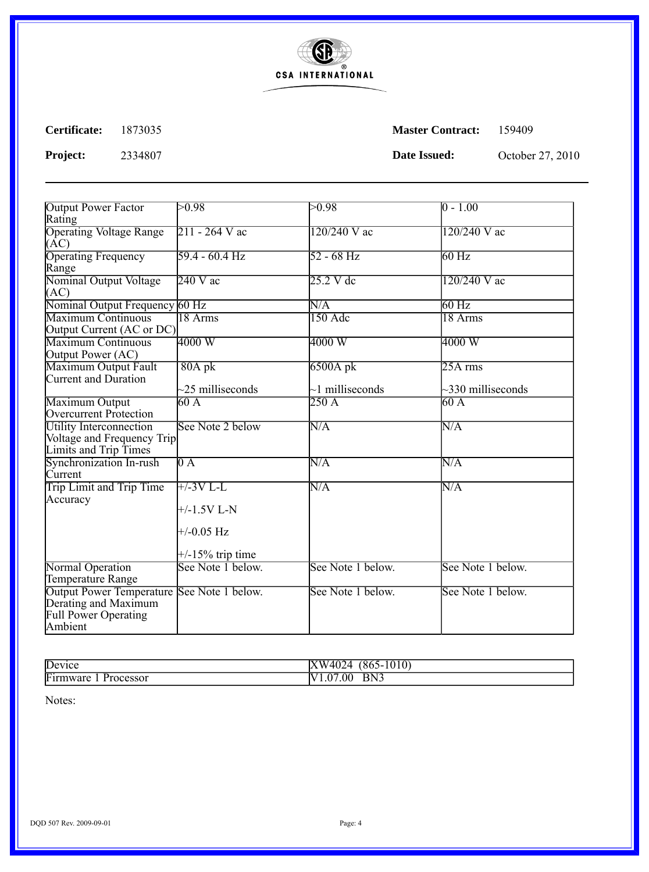

**Project:** 2334807 **Date Issued:** October 27, 2010

| <b>Output Power Factor</b><br>Rating                                                              | >0.98                                                               | >0.98                 | $ 0 - 1.00 $            |
|---------------------------------------------------------------------------------------------------|---------------------------------------------------------------------|-----------------------|-------------------------|
| <b>Operating Voltage Range</b><br>(AC)                                                            | 211 - 264 V ac                                                      | $120/240$ V ac        | $120/240$ V ac          |
| <b>Operating Frequency</b><br>Range                                                               | $59.4 - 60.4$ Hz                                                    | $52 - 68$ Hz          | $60$ Hz                 |
| Nominal Output Voltage<br>(AC)                                                                    | $240 \text{ V}$ ac                                                  | $25.2 \text{ V}$ dc   | $120/240$ V ac          |
| Nominal Output Frequency 60 Hz                                                                    |                                                                     | N/A                   | $60$ Hz                 |
| <b>Maximum Continuous</b><br>Output Current (AC or DC)                                            | 18 Arms                                                             | 150 Adc               | 18 Arms                 |
| <b>Maximum Continuous</b><br>Output Power (AC)                                                    | $\overline{4000}$ W                                                 | 4000W                 | 4000W                   |
| Maximum Output Fault<br>Current and Duration                                                      | $80A$ pk                                                            | 6500A pk              | $25A$ rms               |
|                                                                                                   | $\sim$ 25 milliseconds                                              | $\sim$ 1 milliseconds | $\sim$ 330 milliseconds |
| Maximum Output<br>Overcurrent Protection                                                          | 60A                                                                 | 250 A                 | 60 A                    |
| <b>Utility Interconnection</b><br>Voltage and Frequency Trip<br>Limits and Trip Times             | See Note 2 below                                                    | N/A                   | $\overline{\text{N/A}}$ |
| Synchronization In-rush<br>Current                                                                | $0\,\mathrm{A}$                                                     | N/A                   | $\overline{\text{N/A}}$ |
| Trip Limit and Trip Time<br>Accuracy                                                              | $+/-3V L-L$<br>$+/-1.5V L-N$<br>$+/-0.05$ Hz<br>$+/-15\%$ trip time | N/A                   | $\overline{\text{N/A}}$ |
| Normal Operation<br>Temperature Range                                                             | See Note 1 below.                                                   | See Note 1 below.     | See Note 1 below.       |
| <b>Output Power Temperature</b><br>Derating and Maximum<br><b>Full Power Operating</b><br>Ambient | See Note 1 below.                                                   | See Note 1 below.     | See Note 1 below.       |

| Device                | $(865 - 1)$<br>402<br>$\overline{\text{VW}}$<br>1010<br>r 1 4 |
|-----------------------|---------------------------------------------------------------|
| Firmware<br>Processor | BN <sub>3</sub><br>.00<br>$.0^\circ$<br>v                     |

Notes: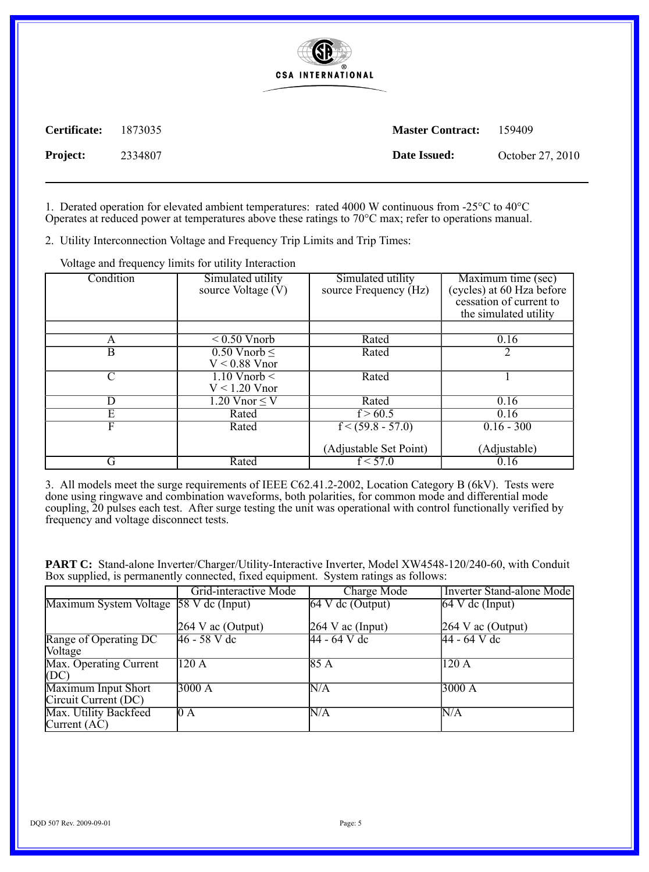

| <b>Certificate:</b> 1873035 |         | <b>Master Contract:</b> | 159409           |
|-----------------------------|---------|-------------------------|------------------|
| <b>Project:</b>             | 2334807 | Date Issued:            | October 27, 2010 |

1. Derated operation for elevated ambient temperatures: rated 4000 W continuous from -25°C to 40°C Operates at reduced power at temperatures above these ratings to 70°C max; refer to operations manual.

2. Utility Interconnection Voltage and Frequency Trip Limits and Trip Times:

| Condition | Simulated utility               | Simulated utility      | Maximum time (sec)        |
|-----------|---------------------------------|------------------------|---------------------------|
|           | source Voltage $(V)$            | source Frequency (Hz)  | (cycles) at 60 Hza before |
|           |                                 |                        | cessation of current to   |
|           |                                 |                        |                           |
|           |                                 |                        | the simulated utility     |
|           |                                 |                        |                           |
| A         | $\leq 0.50$ Vnorb               | Rated                  | 0.16                      |
| B         | $0.50$ Vnorb $\leq$             | Rated                  |                           |
|           | $V < 0.88$ Vnor                 |                        |                           |
|           | $1.10$ Vnorb $\leq$             |                        |                           |
|           |                                 | Rated                  |                           |
|           | $V < 1.20$ Vnor                 |                        |                           |
| D         | $\overline{1.20}$ Vnor $\leq$ V | Rated                  | 0.16                      |
| E         | Rated                           | f > 60.5               | 0.16                      |
| F         | Rated                           | $f < (59.8 - 57.0)$    | $0.16 - 300$              |
|           |                                 |                        |                           |
|           |                                 | (Adjustable Set Point) | (Adjustable)              |
|           |                                 |                        |                           |
| G         | Rated                           | f < 57.0               | 0.16                      |

Voltage and frequency limits for utility Interaction

3. All models meet the surge requirements of IEEE C62.41.2-2002, Location Category B (6kV). Tests were done using ringwave and combination waveforms, both polarities, for common mode and differential mode coupling, 20 pulses each test. After surge testing the unit was operational with control functionally verified by frequency and voltage disconnect tests.

PART C: Stand-alone Inverter/Charger/Utility-Interactive Inverter, Model XW4548-120/240-60, with Conduit Box supplied, is permanently connected, fixed equipment. System ratings as follows:

|                                             | Grid-interactive Mode | <b>Charge Mode</b> | <b>Inverter Stand-alone Mode</b> |
|---------------------------------------------|-----------------------|--------------------|----------------------------------|
| Maximum System Voltage 58 V dc (Input)      |                       | $64$ V dc (Output) | $64$ V dc (Input)                |
|                                             | $264$ V ac (Output)   | $264$ V ac (Input) | $264$ V ac (Output)              |
| Range of Operating DC<br><b>Voltage</b>     | $46 - 58$ V dc        | 44 - 64 V dc       | 44 - 64 V dc                     |
| Max. Operating Current<br>(DC)              | 120A                  | 85A                | 120 A                            |
| Maximum Input Short<br>Circuit Current (DC) | 3000 A                | $\rm N/A$          | 3000 A                           |
| Max. Utility Backfeed<br>Current $(AC)$     | 0A                    | N/A                | N/A                              |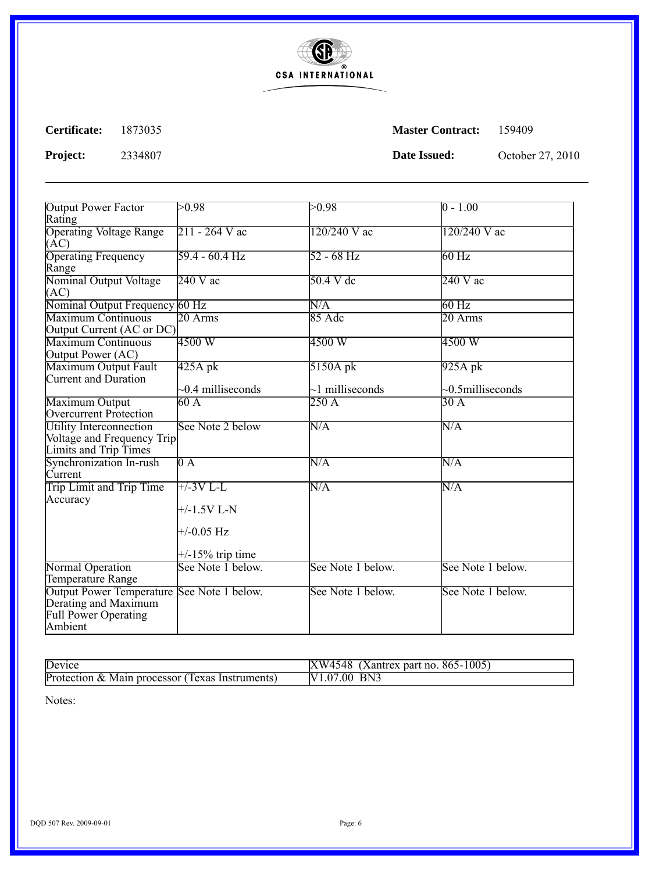

**Project:** 2334807 **Date Issued:** October 27, 2010

| <b>Output Power Factor</b><br>Rating                                                                         | >0.98               | >0.98                   | $ 0 - 1.00 $            |
|--------------------------------------------------------------------------------------------------------------|---------------------|-------------------------|-------------------------|
| <b>Operating Voltage Range</b><br>(AC)                                                                       | $211 - 264$ V ac    | $120/240$ V ac          | $120/240$ V ac          |
| <b>Operating Frequency</b><br>Range                                                                          | $59.4 - 60.4$ Hz    | $52 - 68$ Hz            | $60$ Hz                 |
| Nominal Output Voltage<br>(AC)                                                                               | $240 \text{ V}$ ac  | $50.4 V d$ c            | $240 \text{ V}$ ac      |
| Nominal Output Frequency 60 Hz                                                                               |                     | N/A                     | $60$ Hz                 |
| <b>Maximum Continuous</b><br>Output Current (AC or DC)                                                       | $20 \text{ Arms}$   | $85$ Adc                | $20 \text{ Arms}$       |
| <b>Maximum Continuous</b><br>Output Power (AC)                                                               | 4500 W              | 4500 W                  | 4500 W                  |
| Maximum Output Fault<br>Current and Duration                                                                 | $425A$ pk           | $5150A$ pk              | $925A$ pk               |
|                                                                                                              | $-0.4$ milliseconds | $\sim$ 1 milliseconds   | $\sim 0.5$ milliseconds |
| Maximum Output<br>Overcurrent Protection                                                                     | 60A                 | 250A                    | 30A                     |
| <b>Utility Interconnection</b><br>Voltage and Frequency Trip<br>Limits and Trip Times                        | See Note 2 below    | $\overline{\text{N/A}}$ | $\overline{\text{N/A}}$ |
| Synchronization In-rush<br>Current                                                                           | $0\overline{A}$     | N/A                     | N/A                     |
| Trip Limit and Trip Time                                                                                     | $+/-3V L-L$         | N/A                     | N/A                     |
| Accuracy                                                                                                     | $+/-1.5V L-N$       |                         |                         |
|                                                                                                              | $+/-0.05$ Hz        |                         |                         |
|                                                                                                              | $+/-15\%$ trip time |                         |                         |
| Normal Operation<br>Temperature Range                                                                        | See Note 1 below.   | See Note 1 below.       | See Note 1 below.       |
| Output Power Temperature See Note 1 below.<br>Derating and Maximum<br><b>Full Power Operating</b><br>Ambient |                     | See Note 1 below.       | See Note 1 below.       |

| Device           | $\pi$<br>XW4548<br>$\sqrt{865-1005}$<br>'Xantrex part no. |
|------------------|-----------------------------------------------------------|
| Protection $\&$  | BN <sub>3</sub>                                           |
| Texas            | $.00\,$                                                   |
| Main processor ( | V)                                                        |
| Instruments)     | .07                                                       |

Notes: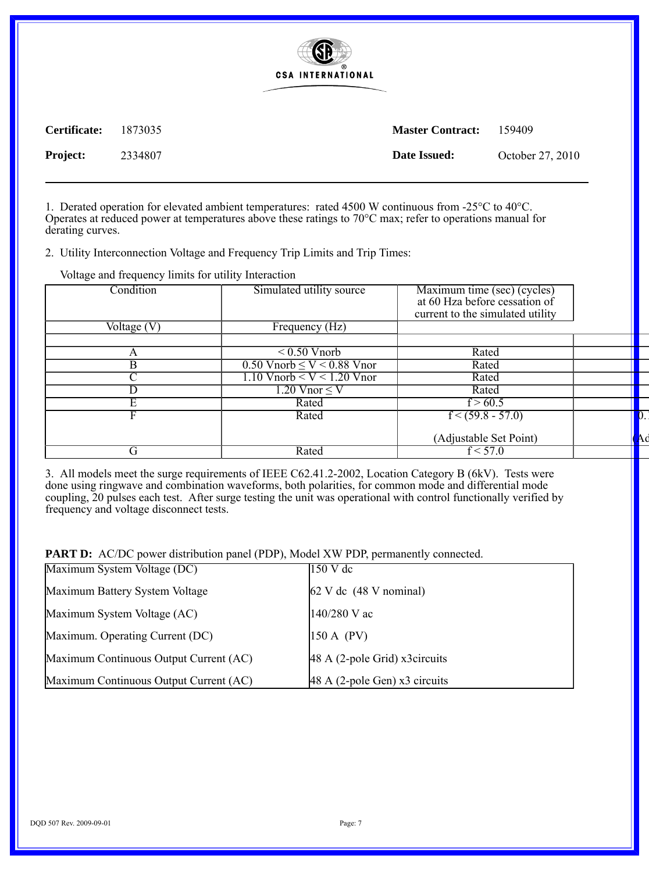

| Certificate:    | 1873035 | <b>Master Contract:</b> | 159409           |
|-----------------|---------|-------------------------|------------------|
| <b>Project:</b> | 2334807 | Date Issued:            | October 27, 2010 |

1. Derated operation for elevated ambient temperatures: rated 4500 W continuous from -25°C to 40°C. Operates at reduced power at temperatures above these ratings to 70°C max; refer to operations manual for derating curves.

2. Utility Interconnection Voltage and Frequency Trip Limits and Trip Times:

Voltage and frequency limits for utility Interaction

| Condition                | Simulated utility source               | Maximum time (sec) (cycles)<br>at 60 Hza before cessation of<br>current to the simulated utility |  |
|--------------------------|----------------------------------------|--------------------------------------------------------------------------------------------------|--|
| Voltage $(\overline{V})$ | Frequency (Hz)                         |                                                                                                  |  |
|                          |                                        |                                                                                                  |  |
| А                        | $\leq 0.50$ Vnorb                      | Rated                                                                                            |  |
| Β                        | $0.50$ Vnorb $\leq$ V $\leq$ 0.88 Vnor | Rated                                                                                            |  |
|                          | $1.10$ Vnorb $\leq$ V $\leq$ 1.20 Vnor | Rated                                                                                            |  |
|                          | 1.20 $Vnor \leq V$                     | Rated                                                                                            |  |
| E                        | Rated                                  | f > 60.5                                                                                         |  |
| F                        | Rated                                  | $f < (59.8 - 57.0)$                                                                              |  |
|                          |                                        | (Adjustable Set Point)                                                                           |  |
| G                        | Rated                                  | f < 57.0                                                                                         |  |

3. All models meet the surge requirements of IEEE C62.41.2-2002, Location Category B (6kV). Tests were done using ringwave and combination waveforms, both polarities, for common mode and differential mode coupling, 20 pulses each test. After surge testing the unit was operational with control functionally verified by frequency and voltage disconnect tests.

**PART D:** AC/DC power distribution panel (PDP), Model XW PDP, permanently connected.

| Maximum System Voltage (DC)            | $150 \text{ V}$ dc                        |
|----------------------------------------|-------------------------------------------|
| Maximum Battery System Voltage         | $62$ V dc $(48$ V nominal)                |
| Maximum System Voltage (AC)            | $140/280$ V ac                            |
| Maximum. Operating Current (DC)        | $150 \text{ A}$ (PV)                      |
| Maximum Continuous Output Current (AC) | $ 48 \text{ A}$ (2-pole Grid) x3 circuits |
| Maximum Continuous Output Current (AC) | $ 48 \text{ A} (2-pole Gen) x3$ circuits  |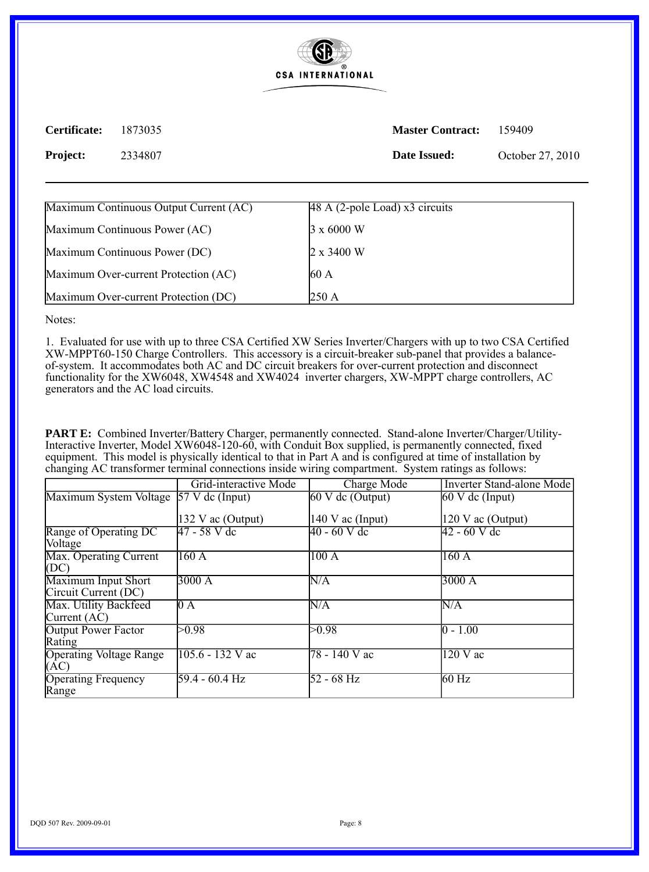

**Project:** 2334807 **Date Issued:** October 27, 2010

| Maximum Continuous Output Current (AC) | $ 48 \text{ A}$ (2-pole Load) x3 circuits |  |
|----------------------------------------|-------------------------------------------|--|
| Maximum Continuous Power (AC)          | $3 \times 6000 \text{ W}$                 |  |
| Maximum Continuous Power (DC)          | $2 \times 3400 \text{ W}$                 |  |
| Maximum Over-current Protection (AC)   | 60A                                       |  |
| Maximum Over-current Protection (DC)   | 250 A                                     |  |

Notes:

1. Evaluated for use with up to three CSA Certified XW Series Inverter/Chargers with up to two CSA Certified XW-MPPT60-150 Charge Controllers. This accessory is a circuit-breaker sub-panel that provides a balanceof-system. It accommodates both AC and DC circuit breakers for over-current protection and disconnect functionality for the XW6048, XW4548 and XW4024 inverter chargers, XW-MPPT charge controllers, AC generators and the AC load circuits.

PART E: Combined Inverter/Battery Charger, permanently connected. Stand-alone Inverter/Charger/Utility-Interactive Inverter, Model XW6048-120-60, with Conduit Box supplied, is permanently connected, fixed equipment. This model is physically identical to that in Part A and is configured at time of installation by changing AC transformer terminal connections inside wiring compartment. System ratings as follows:

|                                                    | Grid-interactive Mode | Charge Mode                           | <b>Inverter Stand-alone Mode</b> |
|----------------------------------------------------|-----------------------|---------------------------------------|----------------------------------|
| Maximum System Voltage 57 V dc (Input)             |                       | $\overline{60 \text{ V}}$ dc (Output) | $60 V$ dc (Input)                |
|                                                    | 132 V ac (Output)     | $140$ V ac (Input)                    | $120$ V ac (Output)              |
| Range of Operating DC<br>Voltage                   | 47 - 58 V de          | 40 - 60 V dc                          | $42 - 60$ V dc                   |
| Max. Operating Current<br>(DC)                     | 160A                  | 100A                                  | 160A                             |
| <b>Maximum Input Short</b><br>Circuit Current (DC) | 3000A                 | $\overline{\text{N/A}}$               | 3000A                            |
| Max. Utility Backfeed<br>Current $(AC)$            | $0\overline{A}$       | $\overline{\rm N/A}$                  | N/A                              |
| Output Power Factor<br>Rating                      | >0.98                 | >0.98                                 | $ 0 - 1.00 $                     |
| <b>Operating Voltage Range</b><br>(AC)             | $105.6 - 132$ V ac    | 78 - 140 V ac                         | $120 \text{ V}$ ac               |
| <b>Operating Frequency</b><br>Range                | 59.4 - 60.4 Hz        | $52 - 68$ Hz                          | $60$ Hz                          |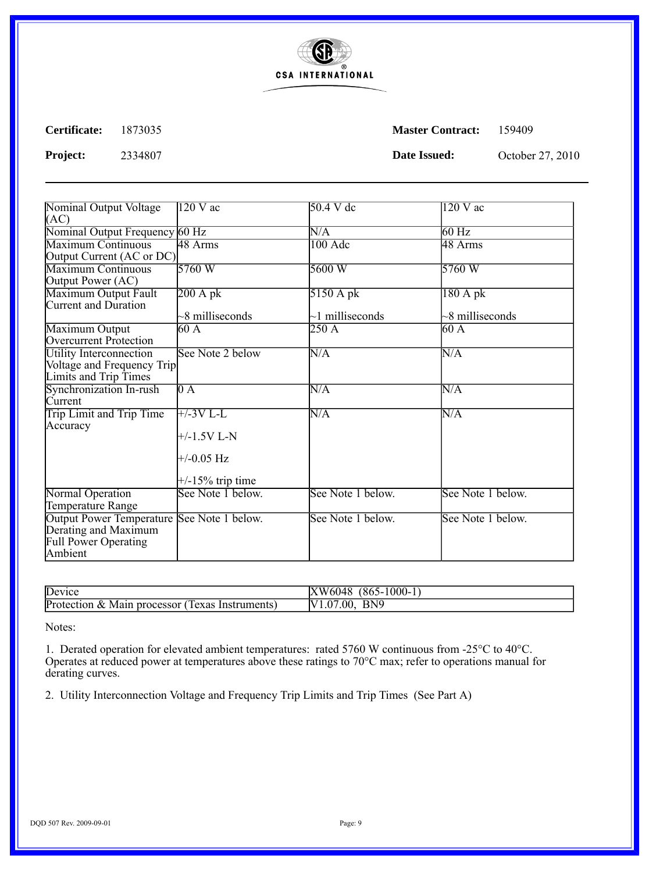

**Project:** 2334807 **Date Issued:** October 27, 2010

| Nominal Output Voltage<br>(AC)                                                                               | $120 \text{ V}$ ac                                                   | $50.4 V$ dc             | $120 V$ ac              |
|--------------------------------------------------------------------------------------------------------------|----------------------------------------------------------------------|-------------------------|-------------------------|
| Nominal Output Frequency 60 Hz                                                                               |                                                                      | N/A                     | $60$ Hz                 |
| <b>Maximum Continuous</b><br>Output Current (AC or DC)                                                       | 48 Arms                                                              | $100$ Adc               | 48 Arms                 |
| Maximum Continuous<br>Output Power (AC)                                                                      | 5760W                                                                | 5600 W                  | 5760W                   |
| Maximum Output Fault<br>Current and Duration                                                                 | $200A$ pk                                                            | $5150A$ pk              | 180Apk                  |
|                                                                                                              | $\sim$ 8 milliseconds                                                | $\sim$ 1 milliseconds   | $\sim$ 8 milliseconds   |
| Maximum Output<br>Overcurrent Protection                                                                     | 60 A                                                                 | 250A                    | 60 A                    |
| Utility Interconnection<br>Voltage and Frequency Trip<br>Limits and Trip Times                               | See Note 2 below                                                     | $\overline{\text{N/A}}$ | $\overline{\text{N/A}}$ |
| Synchronization In-rush<br>Current                                                                           | $0\,\mathrm{A}$                                                      | N/A                     | N/A                     |
| <b>Trip Limit and Trip Time</b><br>Accuracy                                                                  | $\pm$ /-3V L-L<br>+/-1.5V L-N<br>$+/-0.05$ Hz<br>$+/-15\%$ trip time | $\overline{\rm N/A}$    | N/A                     |
| Normal Operation<br>Temperature Range                                                                        | See Note 1 below.                                                    | See Note 1 below.       | See Note 1 below.       |
| Output Power Temperature See Note 1 below.<br>Derating and Maximum<br><b>Full Power Operating</b><br>Ambient |                                                                      | See Note 1 below.       | See Note 1 below.       |

| Device         | $000 -$<br>$865 - 1$<br>XW6048 |
|----------------|--------------------------------|
| Protection $&$ | <b>RNQ</b>                     |
| processor      | .00.                           |
| : Instruments) | .07                            |
| Texas          | v                              |
| Main           | UIL.                           |

Notes:

1. Derated operation for elevated ambient temperatures: rated 5760 W continuous from -25°C to 40°C. Operates at reduced power at temperatures above these ratings to 70°C max; refer to operations manual for derating curves.

2. Utility Interconnection Voltage and Frequency Trip Limits and Trip Times (See Part A)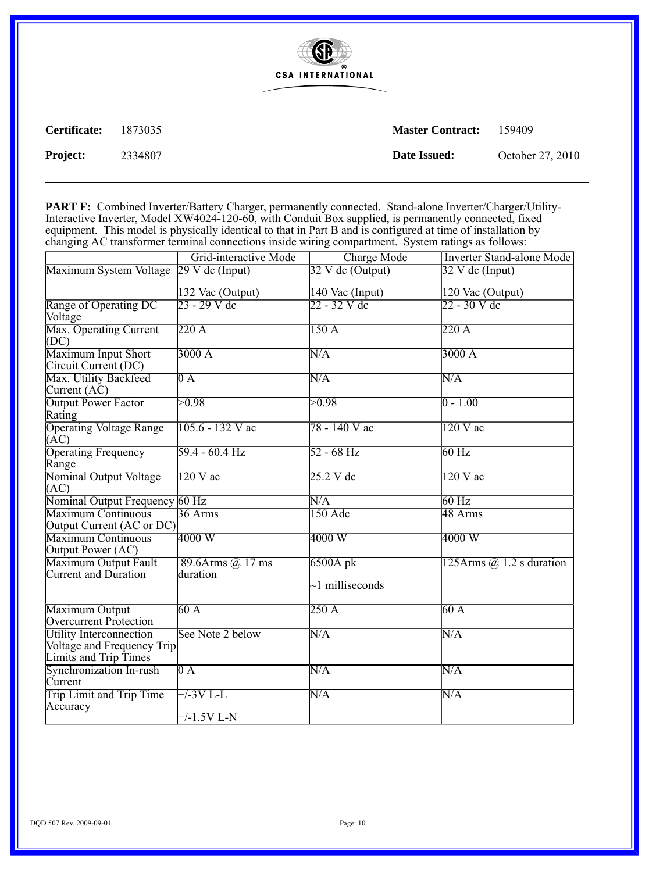

**Project:** 2334807 **Date Issued:** October 27, 2010

PART F: Combined Inverter/Battery Charger, permanently connected. Stand-alone Inverter/Charger/Utility-Interactive Inverter, Model XW4024-120-60, with Conduit Box supplied, is permanently connected, fixed equipment. This model is physically identical to that in Part B and is configured at time of installation by changing AC transformer terminal connections inside wiring compartment. System ratings as follows:

|                                                                                | Grid-interactive Mode        | Charge Mode             | <b>Inverter Stand-alone Mode</b> |
|--------------------------------------------------------------------------------|------------------------------|-------------------------|----------------------------------|
| Maximum System Voltage                                                         | $29$ V dc (Input)            | 32 V dc (Output)        | $32 \text{ V}$ dc (Input)        |
|                                                                                | 132 Vac (Output)             | 140 Vac (Input)         | 120 Vac (Output)                 |
| Range of Operating DC<br>Voltage                                               | $23 - 29 \text{ V}$ dc       | $22 - 32 \text{ V}$ dc  | $22 - 30 \text{ V}$ dc           |
| Max. Operating Current<br>(DC)                                                 | 220A                         | 150A                    | 220A                             |
| Maximum Input Short<br>Circuit Current (DC)                                    | 3000 A                       | $\overline{\text{N/A}}$ | 3000 A                           |
| Max. Utility Backfeed<br>Current (AC)                                          | $0\overline{A}$              | N/A                     | N/A                              |
| <b>Output Power Factor</b><br>Rating                                           | >0.98                        | >0.98                   | $0 - 1.00$                       |
| <b>Operating Voltage Range</b><br>(AC)                                         | 105.6 - 132 V ac             | 78 - 140 V ac           | $120 V$ ac                       |
| <b>Operating Frequency</b><br>Range                                            | $59.4 - 60.4$ Hz             | $52 - 68$ Hz            | $60$ Hz                          |
| Nominal Output Voltage<br>(AC)                                                 | $120 V$ ac                   | $25.2$ V dc             | $120 V$ ac                       |
| Nominal Output Frequency 60 Hz                                                 |                              | $\overline{\text{N/A}}$ | $60$ Hz                          |
| <b>Maximum Continuous</b><br>Output Current (AC or DC)                         | $36 \text{ Arms}$            | 150 Adc                 | 48 Arms                          |
| Maximum Continuous<br>Output Power (AC)                                        | 4000W                        | 4000 W                  | $4000\mathrm{~W}$                |
| Maximum Output Fault                                                           | 89.6Arms @ 17 ms             | $6500A$ pk              | 125Arms $(a)$ 1.2 s duration     |
| Current and Duration                                                           | duration                     | ~1 milliseconds         |                                  |
| Maximum Output<br>Overcurrent Protection                                       | 60A                          | 250A                    | 60 A                             |
| Utility Interconnection<br>Voltage and Frequency Trip<br>Limits and Trip Times | See Note 2 below             | $\overline{\text{N/A}}$ | $\overline{\text{N/A}}$          |
| Synchronization In-rush<br>Current                                             | $\overline{0 A}$             | $\overline{\text{N/A}}$ | $\overline{\text{N/A}}$          |
| <b>Trip Limit and Trip Time</b><br>Accuracy                                    | $+/-3V L-L$<br>$+/-1.5V L-N$ | N/A                     | N/A                              |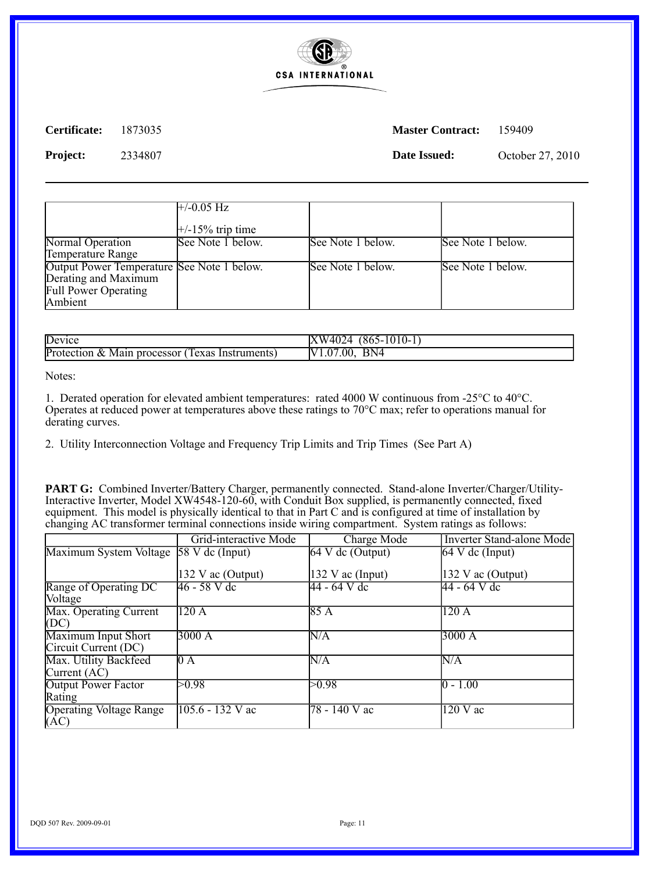

**Project:** 2334807 **Date Issued:** October 27, 2010

|                                                                                                                      | $\pm$ /-0.05 Hz       |                   |                   |
|----------------------------------------------------------------------------------------------------------------------|-----------------------|-------------------|-------------------|
|                                                                                                                      | $\pm$ /-15% trip time |                   |                   |
| Normal Operation<br>Temperature Range                                                                                | See Note 1 below.     | See Note 1 below. | See Note 1 below. |
| Output Power Temperature See Note 1 below.<br>Derating and Maximum<br><b>Full Power Operating</b><br><b>A</b> mbient |                       | See Note 1 below. | See Note 1 below. |

| Device                                                              | $865-$<br>$1010 -$<br>$\sqrt{2}$<br>ZW.<br>, ,<br><u>.</u><br>$TU$ . |
|---------------------------------------------------------------------|----------------------------------------------------------------------|
| Protection<br>processor<br>rexas<br>Instruments<br>Main<br>$\alpha$ | BN4<br>.00<br>$.0^-$                                                 |

Notes:

1. Derated operation for elevated ambient temperatures: rated 4000 W continuous from -25°C to 40°C. Operates at reduced power at temperatures above these ratings to 70°C max; refer to operations manual for derating curves.

2. Utility Interconnection Voltage and Frequency Trip Limits and Trip Times (See Part A)

PART G: Combined Inverter/Battery Charger, permanently connected. Stand-alone Inverter/Charger/Utility-Interactive Inverter, Model XW4548-120-60, with Conduit Box supplied, is permanently connected, fixed equipment. This model is physically identical to that in Part C and is configured at time of installation by changing AC transformer terminal connections inside wiring compartment. System ratings as follows:

|                                                     | Grid-interactive Mode | <b>Charge Mode</b>                    | Inverter Stand-alone Mode    |
|-----------------------------------------------------|-----------------------|---------------------------------------|------------------------------|
| Maximum System Voltage 58 V dc (Input)              |                       | $\overline{64 \text{ V d}c}$ (Output) | $\overline{64}$ V dc (Input) |
|                                                     | 132 V ac (Output)     | 132 V ac (Input)                      | 132 V ac (Output)            |
| Range of Operating DC<br><b>Voltage</b>             | 46 - 58 V dc          | 44 - 64 V dc                          | 44 - 64 V de                 |
| Max. Operating Current<br>(DC)                      | 120A                  | 85A                                   | 120A                         |
| Maximum Input Short<br>Circuit Current (DC)         | 3000 A                | N/A                                   | 3000A                        |
| Max. Utility Backfeed<br>Current $(AC)$             | 0 A                   | N/A                                   | N/A                          |
| <b>Output Power Factor</b><br>Rating                | >0.98                 | >0.98                                 | $ 0 - 1.00 $                 |
| <b>Operating Voltage Range</b><br>$(\overline{AC})$ | $105.6 - 132$ V ac    | 78 - 140 V ac                         | $120 \text{ V}$ ac           |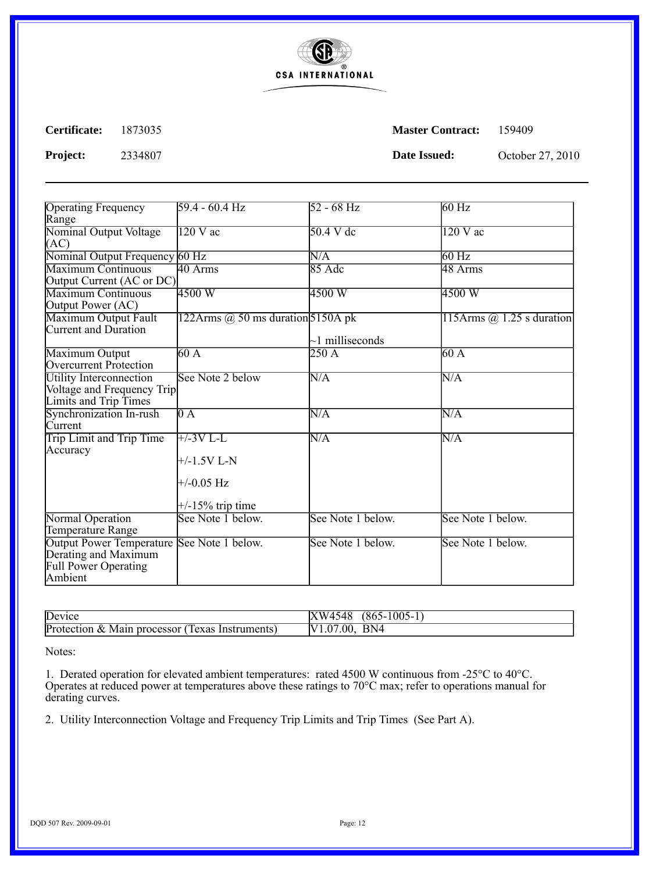

**Project:** 2334807 **Date Issued:** October 27, 2010

| <b>Operating Frequency</b><br>Range                                                                          | 59.4 - 60.4 Hz                                                      | $52 - 68$ Hz            | $60$ Hz                       |
|--------------------------------------------------------------------------------------------------------------|---------------------------------------------------------------------|-------------------------|-------------------------------|
| Nominal Output Voltage<br>(AC)                                                                               | $120 \text{ V}$ ac                                                  | $50.4 V d$ c            | $120 V$ ac                    |
| Nominal Output Frequency                                                                                     | $60$ Hz                                                             | $\overline{\text{N/A}}$ | $60$ Hz                       |
| <b>Maximum Continuous</b><br>Output Current (AC or DC)                                                       | 40 Arms                                                             | 85 Adc                  | 48 Arms                       |
| <b>Maximum Continuous</b><br>Output Power (AC)                                                               | 4500W                                                               | 4500 W                  | 4500 W                        |
| Maximum Output Fault<br>Current and Duration                                                                 | 122Arms $\omega$ 50 ms duration 5150A pk                            | $\sim$ 1 milliseconds   | 115Arms $(a)$ 1.25 s duration |
| Maximum Output<br><b>Overcurrent Protection</b>                                                              | 60 A                                                                | 250 A                   | 60 A                          |
| <b>Utility Interconnection</b><br>Voltage and Frequency Trip<br>Limits and Trip Times                        | See Note 2 below                                                    | N/A                     | N/A                           |
| Synchronization In-rush<br>Current                                                                           | $\overline{0 A}$                                                    | $\overline{\rm N/A}$    | $\overline{\text{N/A}}$       |
| <b>Trip Limit and Trip Time</b><br>Accuracy                                                                  | $+/-3V L-L$<br>$+/-1.5V L-N$<br>$+/-0.05$ Hz<br>$+/-15\%$ trip time | $\overline{\text{N/A}}$ | $\overline{\text{N/A}}$       |
| Normal Operation<br>Temperature Range                                                                        | See Note 1 below.                                                   | See Note 1 below.       | See Note 1 below.             |
| Output Power Temperature See Note 1 below.<br>Derating and Maximum<br><b>Full Power Operating</b><br>Ambient |                                                                     | See Note 1 below.       | See Note 1 below.             |

| Device                                               | XW4548<br>$(865 - 1005 -$            |
|------------------------------------------------------|--------------------------------------|
| Protection & Main processor<br>lexas<br>lnstruments) | B <sub>N4</sub><br>0.001<br>.07<br>N |

Notes:

1. Derated operation for elevated ambient temperatures: rated 4500 W continuous from -25°C to 40°C. Operates at reduced power at temperatures above these ratings to 70°C max; refer to operations manual for derating curves.

2. Utility Interconnection Voltage and Frequency Trip Limits and Trip Times (See Part A).